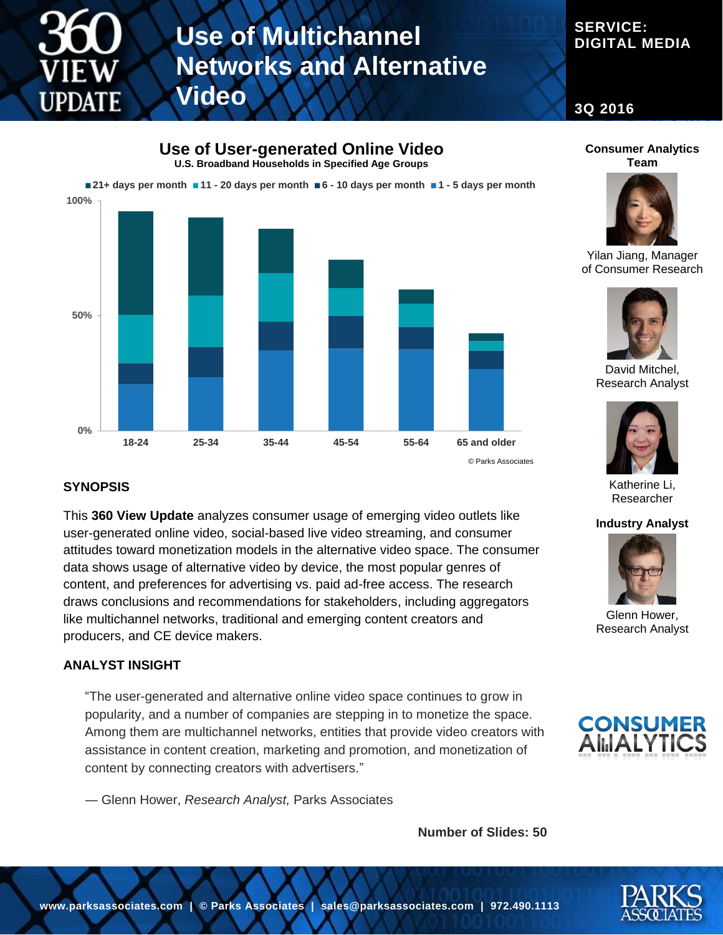

# **Use of Multichannel Networks and Alternative Video**

### **SERVICE: DIGITAL MEDIA**

**3Q 2016**

**Use of User-generated Online Video U.S. Broadband Households in Specified Age Groups**



© Parks Associates

#### **SYNOPSIS**

This **360 View Update** analyzes consumer usage of emerging video outlets like user-generated online video, social-based live video streaming, and consumer attitudes toward monetization models in the alternative video space. The consumer data shows usage of alternative video by device, the most popular genres of content, and preferences for advertising vs. paid ad-free access. The research draws conclusions and recommendations for stakeholders, including aggregators like multichannel networks, traditional and emerging content creators and producers, and CE device makers.

#### **ANALYST INSIGHT**

"The user-generated and alternative online video space continues to grow in popularity, and a number of companies are stepping in to monetize the space. Among them are multichannel networks, entities that provide video creators with assistance in content creation, marketing and promotion, and monetization of content by connecting creators with advertisers."

― Glenn Hower, *Research Analyst,* Parks Associates

**Number of Slides: 50**





Yilan Jiang, Manager of Consumer Research



David Mitchel, Research Analyst



Katherine Li, Researcher

#### **Industry Analyst**



Glenn Hower, Research Analyst



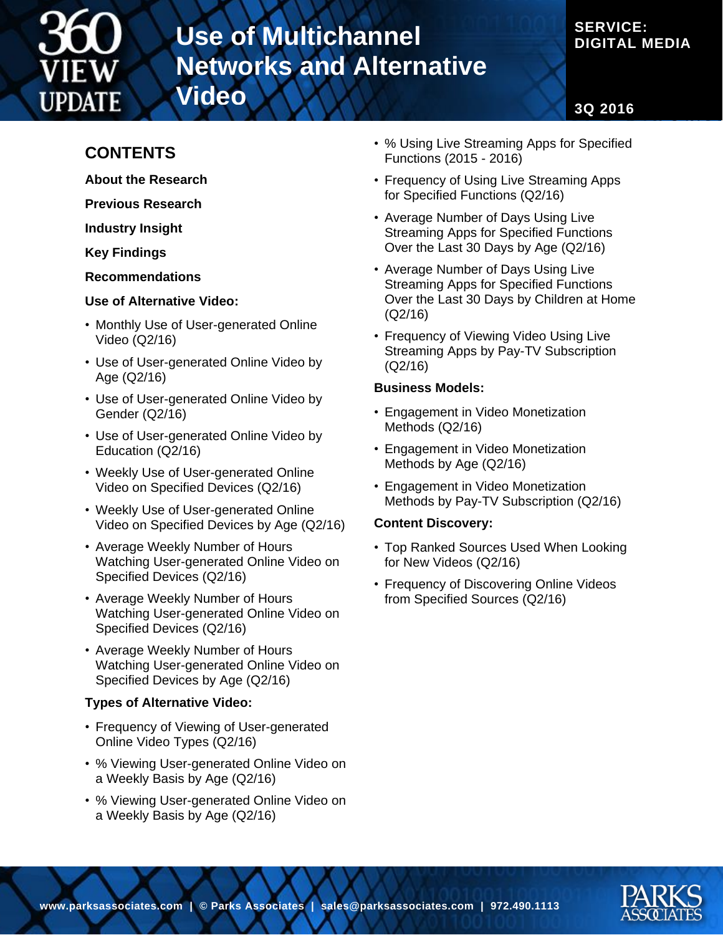

# **Use of Multichannel Networks and Alternative Video**

### **SERVICE: DIGITAL MEDIA**

**3Q 2016**

## **CONTENTS**

- **About the Research**
- **Previous Research**

**Industry Insight**

**Key Findings**

**Recommendations**

#### **Use of Alternative Video:**

- Monthly Use of User-generated Online Video (Q2/16)
- Use of User-generated Online Video by Age (Q2/16)
- Use of User-generated Online Video by Gender (Q2/16)
- Use of User-generated Online Video by Education (Q2/16)
- Weekly Use of User-generated Online Video on Specified Devices (Q2/16)
- Weekly Use of User-generated Online Video on Specified Devices by Age (Q2/16)
- Average Weekly Number of Hours Watching User-generated Online Video on Specified Devices (Q2/16)
- Average Weekly Number of Hours Watching User-generated Online Video on Specified Devices (Q2/16)
- Average Weekly Number of Hours Watching User-generated Online Video on Specified Devices by Age (Q2/16)

#### **Types of Alternative Video:**

- Frequency of Viewing of User-generated Online Video Types (Q2/16)
- % Viewing User-generated Online Video on a Weekly Basis by Age (Q2/16)
- % Viewing User-generated Online Video on a Weekly Basis by Age (Q2/16)
- % Using Live Streaming Apps for Specified Functions (2015 - 2016)
- Frequency of Using Live Streaming Apps for Specified Functions (Q2/16)
- Average Number of Days Using Live Streaming Apps for Specified Functions Over the Last 30 Days by Age (Q2/16)
- Average Number of Days Using Live Streaming Apps for Specified Functions Over the Last 30 Days by Children at Home (Q2/16)
- Frequency of Viewing Video Using Live Streaming Apps by Pay-TV Subscription (Q2/16)

#### **Business Models:**

- Engagement in Video Monetization Methods (Q2/16)
- Engagement in Video Monetization Methods by Age (Q2/16)
- Engagement in Video Monetization Methods by Pay-TV Subscription (Q2/16)

#### **Content Discovery:**

- Top Ranked Sources Used When Looking for New Videos (Q2/16)
- Frequency of Discovering Online Videos from Specified Sources (Q2/16)